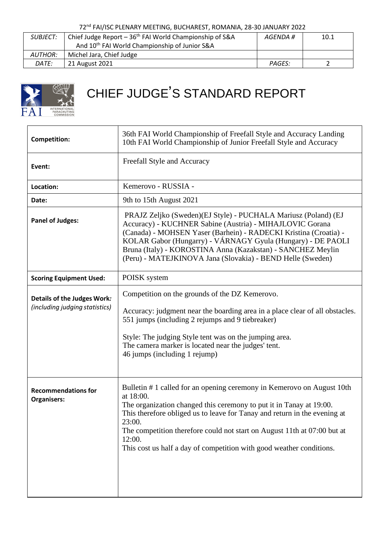72nd FAI/ISC PLENARY MEETING, BUCHAREST, ROMANIA, 28-30 JANUARY 2022

| <i>SUBJECT:</i> | Chief Judge Report - 36 <sup>th</sup> FAI World Championship of S&A | AGENDA #      | 10.1 |
|-----------------|---------------------------------------------------------------------|---------------|------|
|                 | And 10 <sup>th</sup> FAI World Championship of Junior S&A           |               |      |
| AUTHOR:         | Michel Jara, Chief Judge                                            |               |      |
| DATE:           | 21 August 2021                                                      | <b>PAGES:</b> |      |



## CHIEF JUDGE'S STANDARD REPORT

| <b>Competition:</b>                                           | 36th FAI World Championship of Freefall Style and Accuracy Landing<br>10th FAI World Championship of Junior Freefall Style and Accuracy                                                                                                                                                                                                                                                                        |
|---------------------------------------------------------------|----------------------------------------------------------------------------------------------------------------------------------------------------------------------------------------------------------------------------------------------------------------------------------------------------------------------------------------------------------------------------------------------------------------|
| Event:                                                        | Freefall Style and Accuracy                                                                                                                                                                                                                                                                                                                                                                                    |
| Location:                                                     | Kemerovo - RUSSIA -                                                                                                                                                                                                                                                                                                                                                                                            |
| Date:                                                         | 9th to 15th August 2021                                                                                                                                                                                                                                                                                                                                                                                        |
| <b>Panel of Judges:</b>                                       | PRAJZ Zeljko (Sweden)(EJ Style) - PUCHALA Mariusz (Poland) (EJ<br>Accuracy) - KUCHNER Sabine (Austria) - MIHAJLOVIC Gorana<br>(Canada) - MOHSEN Yaser (Barhein) - RADECKI Kristina (Croatia) -<br>KOLAR Gabor (Hungarry) - VÁRNAGY Gyula (Hungary) - DE PAOLI<br>Bruna (Italy) - KOROSTINA Anna (Kazakstan) - SANCHEZ Meylin<br>(Peru) - MATEJKINOVA Jana (Slovakia) - BEND Helle (Sweden)                     |
| <b>Scoring Equipment Used:</b>                                | POISK system                                                                                                                                                                                                                                                                                                                                                                                                   |
| Details of the Judges Work:<br>(including judging statistics) | Competition on the grounds of the DZ Kemerovo.<br>Accuracy: judgment near the boarding area in a place clear of all obstacles.<br>551 jumps (including 2 rejumps and 9 tiebreaker)<br>Style: The judging Style tent was on the jumping area.<br>The camera marker is located near the judges' tent.<br>46 jumps (including 1 rejump)                                                                           |
| <b>Recommendations for</b><br><b>Organisers:</b>              | Bulletin #1 called for an opening ceremony in Kemerovo on August 10th<br>at 18:00.<br>The organization changed this ceremony to put it in Tanay at 19:00.<br>This therefore obliged us to leave for Tanay and return in the evening at<br>23:00.<br>The competition therefore could not start on August 11th at 07:00 but at<br>12:00.<br>This cost us half a day of competition with good weather conditions. |